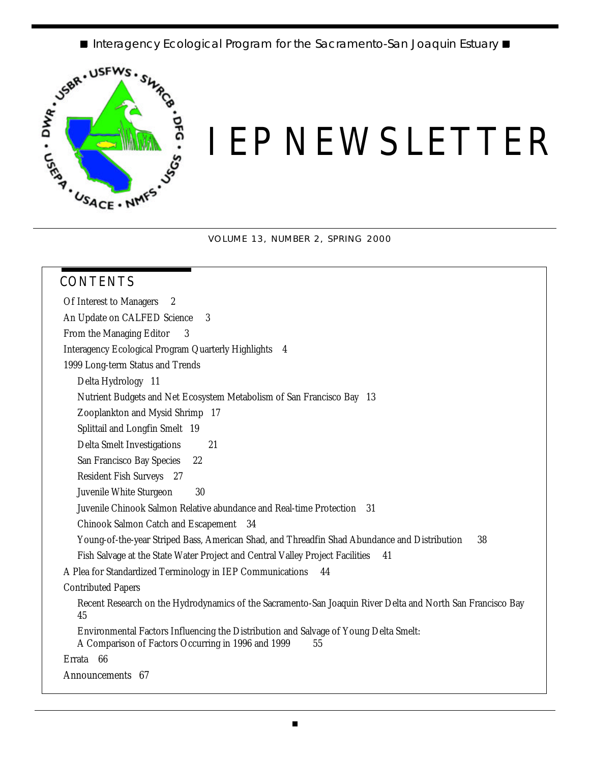■ Interagency Ecological Program for the Sacramento-San Joaquin Estuary ■



# *IEP NEWSLETTER*

VOLUME 13, NUMBER 2, SPRING 2000

| Of Interest to Managers<br>2                              |                                                                                                            |
|-----------------------------------------------------------|------------------------------------------------------------------------------------------------------------|
| An Update on CALFED Science                               | 3                                                                                                          |
| From the Managing Editor<br>3                             |                                                                                                            |
| Interagency Ecological Program Quarterly Highlights 4     |                                                                                                            |
| 1999 Long-term Status and Trends                          |                                                                                                            |
| Delta Hydrology 11                                        |                                                                                                            |
|                                                           | Nutrient Budgets and Net Ecosystem Metabolism of San Francisco Bay 13                                      |
| Zooplankton and Mysid Shrimp 17                           |                                                                                                            |
| Splittail and Longfin Smelt 19                            |                                                                                                            |
| Delta Smelt Investigations                                | 21                                                                                                         |
| San Francisco Bay Species<br>22                           |                                                                                                            |
| Resident Fish Surveys 27                                  |                                                                                                            |
| Juvenile White Sturgeon                                   | 30                                                                                                         |
|                                                           | Juvenile Chinook Salmon Relative abundance and Real-time Protection 31                                     |
| Chinook Salmon Catch and Escapement 34                    |                                                                                                            |
|                                                           | Young-of-the-year Striped Bass, American Shad, and Threadfin Shad Abundance and Distribution<br>38         |
|                                                           | Fish Salvage at the State Water Project and Central Valley Project Facilities<br>41                        |
| A Plea for Standardized Terminology in IEP Communications | 44                                                                                                         |
| <b>Contributed Papers</b>                                 |                                                                                                            |
| 45                                                        | Recent Research on the Hydrodynamics of the Sacramento-San Joaquin River Delta and North San Francisco Bay |
| A Comparison of Factors Occurring in 1996 and 1999        | Environmental Factors Influencing the Distribution and Salvage of Young Delta Smelt:<br>55                 |
| Errata 66                                                 |                                                                                                            |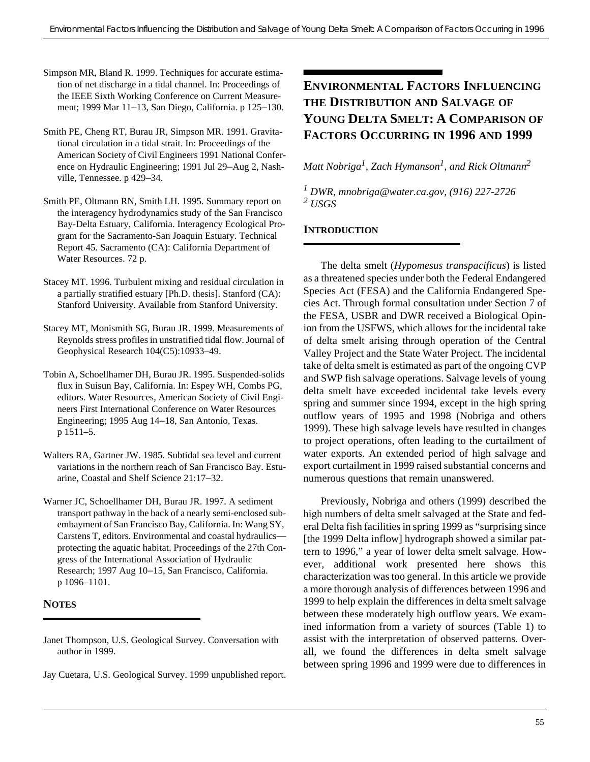- Simpson MR, Bland R. 1999. Techniques for accurate estimation of net discharge in a tidal channel. In: Proceedings of the IEEE Sixth Working Conference on Current Measurement; 1999 Mar 11–13, San Diego, California. p 125–130.
- Smith PE, Cheng RT, Burau JR, Simpson MR. 1991. Gravitational circulation in a tidal strait. In: Proceedings of the American Society of Civil Engineers 1991 National Conference on Hydraulic Engineering; 1991 Jul 29–Aug 2, Nashville, Tennessee. p 429–34.
- Smith PE, Oltmann RN, Smith LH. 1995. Summary report on the interagency hydrodynamics study of the San Francisco Bay-Delta Estuary, California. Interagency Ecological Program for the Sacramento-San Joaquin Estuary. Technical Report 45. Sacramento (CA): California Department of Water Resources. 72 p.
- Stacey MT. 1996. Turbulent mixing and residual circulation in a partially stratified estuary [Ph.D. thesis]. Stanford (CA): Stanford University. Available from Stanford University.
- Stacey MT, Monismith SG, Burau JR. 1999. Measurements of Reynolds stress profiles in unstratified tidal flow. Journal of Geophysical Research 104(C5):10933–49.
- Tobin A, Schoellhamer DH, Burau JR. 1995. Suspended-solids flux in Suisun Bay, California. In: Espey WH, Combs PG, editors. Water Resources, American Society of Civil Engineers First International Conference on Water Resources Engineering; 1995 Aug 14–18, San Antonio, Texas. p 1511–5.
- Walters RA, Gartner JW. 1985. Subtidal sea level and current variations in the northern reach of San Francisco Bay. Estuarine, Coastal and Shelf Science 21:17–32.
- Warner JC, Schoellhamer DH, Burau JR. 1997. A sediment transport pathway in the back of a nearly semi-enclosed subembayment of San Francisco Bay, California. In: Wang SY, Carstens T, editors. Environmental and coastal hydraulics protecting the aquatic habitat. Proceedings of the 27th Congress of the International Association of Hydraulic Research; 1997 Aug 10–15, San Francisco, California. p 1096–1101.

# **NOTES**

# **ENVIRONMENTAL FACTORS INFLUENCING THE DISTRIBUTION AND SALVAGE OF YOUNG DELTA SMELT: A COMPARISON OF FACTORS OCCURRING IN 1996 AND 1999**

*Matt Nobriga<sup>1</sup> , Zach Hymanson<sup>1</sup> , and Rick Oltmann<sup>2</sup>*

*1 DWR, mnobriga@water.ca.gov, (916) 227-2726 2 USGS*

### **INTRODUCTION**

The delta smelt (*Hypomesus transpacificus*) is listed as a threatened species under both the Federal Endangered Species Act (FESA) and the California Endangered Species Act. Through formal consultation under Section 7 of the FESA, USBR and DWR received a Biological Opinion from the USFWS, which allows for the incidental take of delta smelt arising through operation of the Central Valley Project and the State Water Project. The incidental take of delta smelt is estimated as part of the ongoing CVP and SWP fish salvage operations. Salvage levels of young delta smelt have exceeded incidental take levels every spring and summer since 1994, except in the high spring outflow years of 1995 and 1998 (Nobriga and others 1999). These high salvage levels have resulted in changes to project operations, often leading to the curtailment of water exports. An extended period of high salvage and export curtailment in 1999 raised substantial concerns and numerous questions that remain unanswered.

Previously, Nobriga and others (1999) described the high numbers of delta smelt salvaged at the State and federal Delta fish facilities in spring 1999 as "surprising since [the 1999 Delta inflow] hydrograph showed a similar pattern to 1996," a year of lower delta smelt salvage. However, additional work presented here shows this characterization was too general. In this article we provide a more thorough analysis of differences between 1996 and 1999 to help explain the differences in delta smelt salvage between these moderately high outflow years. We examined information from a variety of sources (Table 1) to assist with the interpretation of observed patterns. Overall, we found the differences in delta smelt salvage between spring 1996 and 1999 were due to differences in

Janet Thompson, U.S. Geological Survey. Conversation with author in 1999.

Jay Cuetara, U.S. Geological Survey. 1999 unpublished report.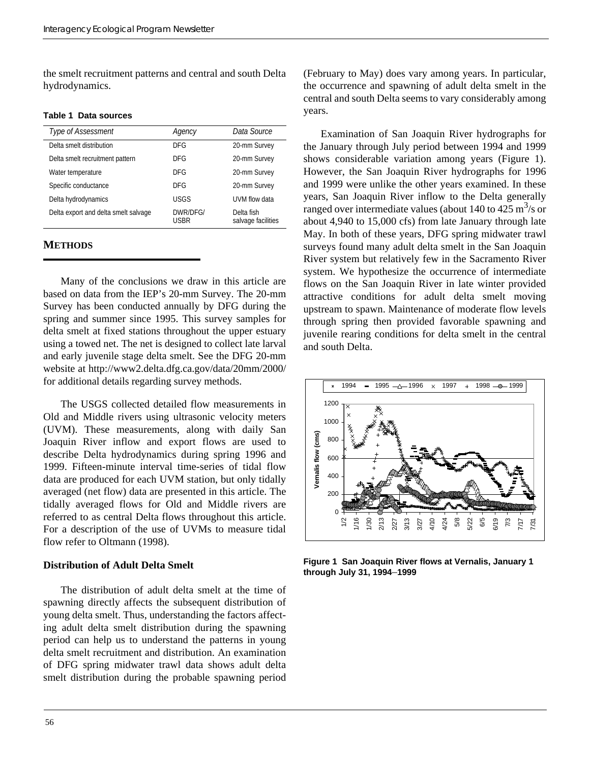the smelt recruitment patterns and central and south Delta hydrodynamics.

#### **Table 1 Data sources**

| Type of Assessment                   | Agency           | Data Source                      |
|--------------------------------------|------------------|----------------------------------|
| Delta smelt distribution             | DFG              | 20-mm Survey                     |
| Delta smelt recruitment pattern      | DFG              | 20-mm Survey                     |
| Water temperature                    | DFG              | 20-mm Survey                     |
| Specific conductance                 | <b>DFG</b>       | 20-mm Survey                     |
| Delta hydrodynamics                  | <b>USGS</b>      | UVM flow data                    |
| Delta export and delta smelt salvage | DWR/DFG/<br>USBR | Delta fish<br>salvage facilities |

#### **METHODS**

Many of the conclusions we draw in this article are based on data from the IEP's 20-mm Survey. The 20-mm Survey has been conducted annually by DFG during the spring and summer since 1995. This survey samples for delta smelt at fixed stations throughout the upper estuary using a towed net. The net is designed to collect late larval and early juvenile stage delta smelt. See the DFG 20-mm website at http://www2.delta.dfg.ca.gov/data/20mm/2000/ for additional details regarding survey methods.

The USGS collected detailed flow measurements in Old and Middle rivers using ultrasonic velocity meters (UVM). These measurements, along with daily San Joaquin River inflow and export flows are used to describe Delta hydrodynamics during spring 1996 and 1999. Fifteen-minute interval time-series of tidal flow data are produced for each UVM station, but only tidally averaged (net flow) data are presented in this article. The tidally averaged flows for Old and Middle rivers are referred to as central Delta flows throughout this article. For a description of the use of UVMs to measure tidal flow refer to Oltmann (1998).

#### **Distribution of Adult Delta Smelt**

The distribution of adult delta smelt at the time of spawning directly affects the subsequent distribution of young delta smelt. Thus, understanding the factors affecting adult delta smelt distribution during the spawning period can help us to understand the patterns in young delta smelt recruitment and distribution. An examination of DFG spring midwater trawl data shows adult delta smelt distribution during the probable spawning period

(February to May) does vary among years. In particular, the occurrence and spawning of adult delta smelt in the central and south Delta seems to vary considerably among years.

Examination of San Joaquin River hydrographs for the January through July period between 1994 and 1999 shows considerable variation among years (Figure 1). However, the San Joaquin River hydrographs for 1996 and 1999 were unlike the other years examined. In these years, San Joaquin River inflow to the Delta generally ranged over intermediate values (about 140 to  $425 \text{ m}^3/\text{s}$  or about 4,940 to 15,000 cfs) from late January through late May. In both of these years, DFG spring midwater trawl surveys found many adult delta smelt in the San Joaquin River system but relatively few in the Sacramento River system. We hypothesize the occurrence of intermediate flows on the San Joaquin River in late winter provided attractive conditions for adult delta smelt moving upstream to spawn. Maintenance of moderate flow levels through spring then provided favorable spawning and juvenile rearing conditions for delta smelt in the central and south Delta.



**Figure 1 San Joaquin River flows at Vernalis, January 1 through July 31, 1994**–**1999**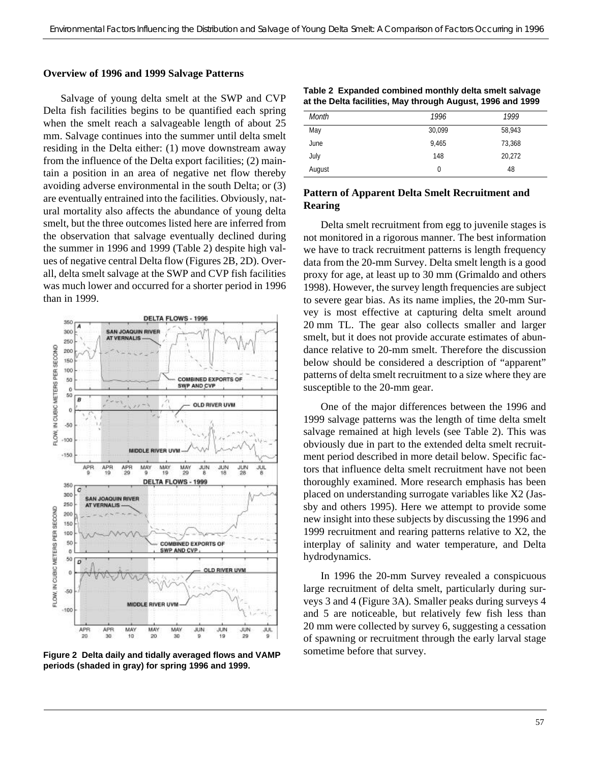#### **Overview of 1996 and 1999 Salvage Patterns**

Salvage of young delta smelt at the SWP and CVP Delta fish facilities begins to be quantified each spring when the smelt reach a salvageable length of about 25 mm. Salvage continues into the summer until delta smelt residing in the Delta either: (1) move downstream away from the influence of the Delta export facilities; (2) maintain a position in an area of negative net flow thereby avoiding adverse environmental in the south Delta; or (3) are eventually entrained into the facilities. Obviously, natural mortality also affects the abundance of young delta smelt, but the three outcomes listed here are inferred from the observation that salvage eventually declined during the summer in 1996 and 1999 (Table 2) despite high values of negative central Delta flow (Figures 2B, 2D). Overall, delta smelt salvage at the SWP and CVP fish facilities was much lower and occurred for a shorter period in 1996 than in 1999.



**Figure 2 Delta daily and tidally averaged flows and VAMP periods (shaded in gray) for spring 1996 and 1999.**

|  |  |  | Table 2 Expanded combined monthly delta smelt salvage      |  |  |
|--|--|--|------------------------------------------------------------|--|--|
|  |  |  | at the Delta facilities, May through August, 1996 and 1999 |  |  |

| Month  | 1996   | 1999   |
|--------|--------|--------|
| May    | 30,099 | 58,943 |
| June   | 9,465  | 73,368 |
| July   | 148    | 20,272 |
| August | 0      | 48     |
|        |        |        |

#### **Pattern of Apparent Delta Smelt Recruitment and Rearing**

Delta smelt recruitment from egg to juvenile stages is not monitored in a rigorous manner. The best information we have to track recruitment patterns is length frequency data from the 20-mm Survey. Delta smelt length is a good proxy for age, at least up to 30 mm (Grimaldo and others 1998). However, the survey length frequencies are subject to severe gear bias. As its name implies, the 20-mm Survey is most effective at capturing delta smelt around 20 mm TL. The gear also collects smaller and larger smelt, but it does not provide accurate estimates of abundance relative to 20-mm smelt. Therefore the discussion below should be considered a description of "apparent" patterns of delta smelt recruitment to a size where they are susceptible to the 20-mm gear.

One of the major differences between the 1996 and 1999 salvage patterns was the length of time delta smelt salvage remained at high levels (see Table 2). This was obviously due in part to the extended delta smelt recruitment period described in more detail below. Specific factors that influence delta smelt recruitment have not been thoroughly examined. More research emphasis has been placed on understanding surrogate variables like X2 (Jassby and others 1995). Here we attempt to provide some new insight into these subjects by discussing the 1996 and 1999 recruitment and rearing patterns relative to X2, the interplay of salinity and water temperature, and Delta hydrodynamics.

In 1996 the 20-mm Survey revealed a conspicuous large recruitment of delta smelt, particularly during surveys 3 and 4 (Figure 3A). Smaller peaks during surveys 4 and 5 are noticeable, but relatively few fish less than 20 mm were collected by survey 6, suggesting a cessation of spawning or recruitment through the early larval stage sometime before that survey.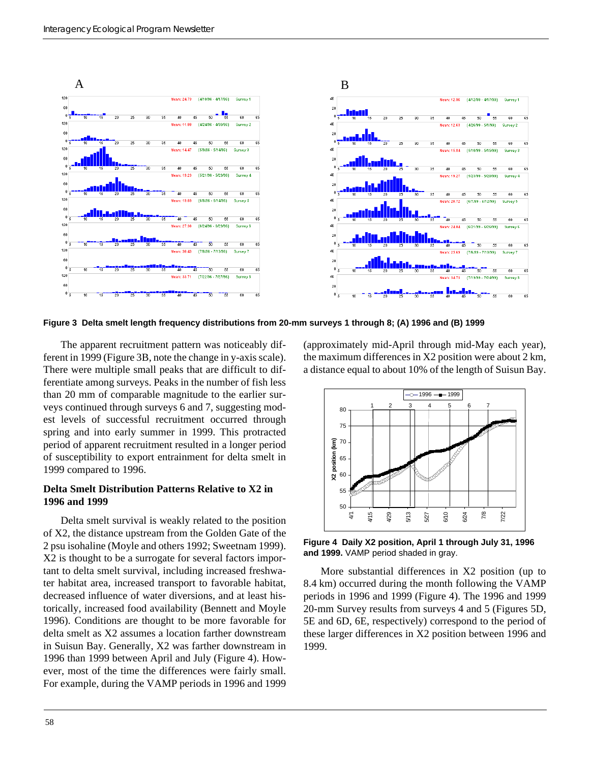

**Figure 3 Delta smelt length frequency distributions from 20-mm surveys 1 through 8; (A) 1996 and (B) 1999**

The apparent recruitment pattern was noticeably different in 1999 (Figure 3B, note the change in y-axis scale). There were multiple small peaks that are difficult to differentiate among surveys. Peaks in the number of fish less than 20 mm of comparable magnitude to the earlier surveys continued through surveys 6 and 7, suggesting modest levels of successful recruitment occurred through spring and into early summer in 1999. This protracted period of apparent recruitment resulted in a longer period of susceptibility to export entrainment for delta smelt in 1999 compared to 1996.

#### **Delta Smelt Distribution Patterns Relative to X2 in 1996 and 1999**

Delta smelt survival is weakly related to the position of X2, the distance upstream from the Golden Gate of the 2 psu isohaline (Moyle and others 1992; Sweetnam 1999). X2 is thought to be a surrogate for several factors important to delta smelt survival, including increased freshwater habitat area, increased transport to favorable habitat, decreased influence of water diversions, and at least historically, increased food availability (Bennett and Moyle 1996). Conditions are thought to be more favorable for delta smelt as X2 assumes a location farther downstream in Suisun Bay. Generally, X2 was farther downstream in 1996 than 1999 between April and July (Figure 4). However, most of the time the differences were fairly small. For example, during the VAMP periods in 1996 and 1999 (approximately mid-April through mid-May each year), the maximum differences in X2 position were about 2 km, a distance equal to about 10% of the length of Suisun Bay.



**Figure 4 Daily X2 position, April 1 through July 31, 1996 and 1999.** VAMP period shaded in gray.

More substantial differences in X2 position (up to 8.4 km) occurred during the month following the VAMP periods in 1996 and 1999 (Figure 4). The 1996 and 1999 20-mm Survey results from surveys 4 and 5 (Figures 5D, 5E and 6D, 6E, respectively) correspond to the period of these larger differences in X2 position between 1996 and 1999.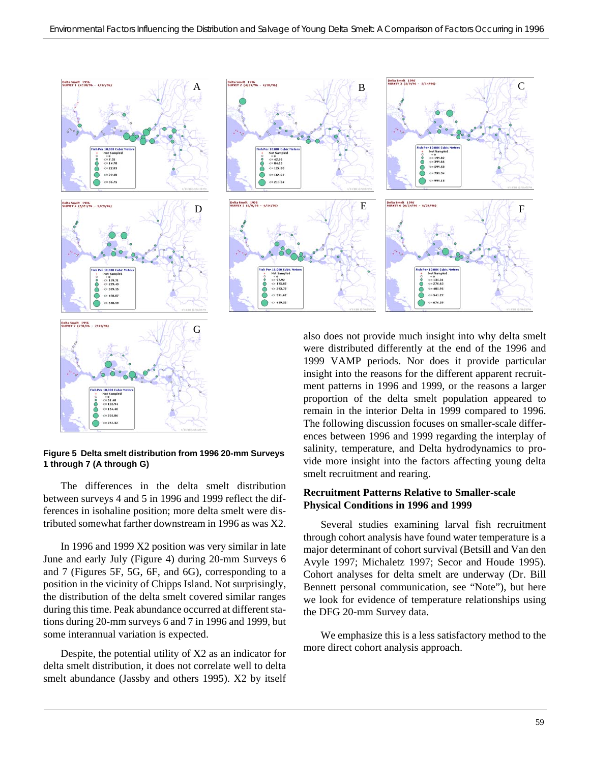



Not hample<br>= 0<br> $\le$  51.40<br> $\le$  102.94<br> $\le$  154.40  $\bullet$  $\degree$  $<$  205.86  $c = 257.32$ 

The differences in the delta smelt distribution between surveys 4 and 5 in 1996 and 1999 reflect the differences in isohaline position; more delta smelt were distributed somewhat farther downstream in 1996 as was X2.

In 1996 and 1999 X2 position was very similar in late June and early July (Figure 4) during 20-mm Surveys 6 and 7 (Figures 5F, 5G, 6F, and 6G), corresponding to a position in the vicinity of Chipps Island. Not surprisingly, the distribution of the delta smelt covered similar ranges during this time. Peak abundance occurred at different stations during 20-mm surveys 6 and 7 in 1996 and 1999, but some interannual variation is expected.

Despite, the potential utility of X2 as an indicator for delta smelt distribution, it does not correlate well to delta smelt abundance (Jassby and others 1995). X2 by itself also does not provide much insight into why delta smelt were distributed differently at the end of the 1996 and 1999 VAMP periods. Nor does it provide particular insight into the reasons for the different apparent recruitment patterns in 1996 and 1999, or the reasons a larger proportion of the delta smelt population appeared to remain in the interior Delta in 1999 compared to 1996. The following discussion focuses on smaller-scale differences between 1996 and 1999 regarding the interplay of salinity, temperature, and Delta hydrodynamics to provide more insight into the factors affecting young delta smelt recruitment and rearing.

#### **Recruitment Patterns Relative to Smaller-scale Physical Conditions in 1996 and 1999**

Several studies examining larval fish recruitment through cohort analysis have found water temperature is a major determinant of cohort survival (Betsill and Van den Avyle 1997; Michaletz 1997; Secor and Houde 1995). Cohort analyses for delta smelt are underway (Dr. Bill Bennett personal communication, see "Note"), but here we look for evidence of temperature relationships using the DFG 20-mm Survey data.

We emphasize this is a less satisfactory method to the more direct cohort analysis approach.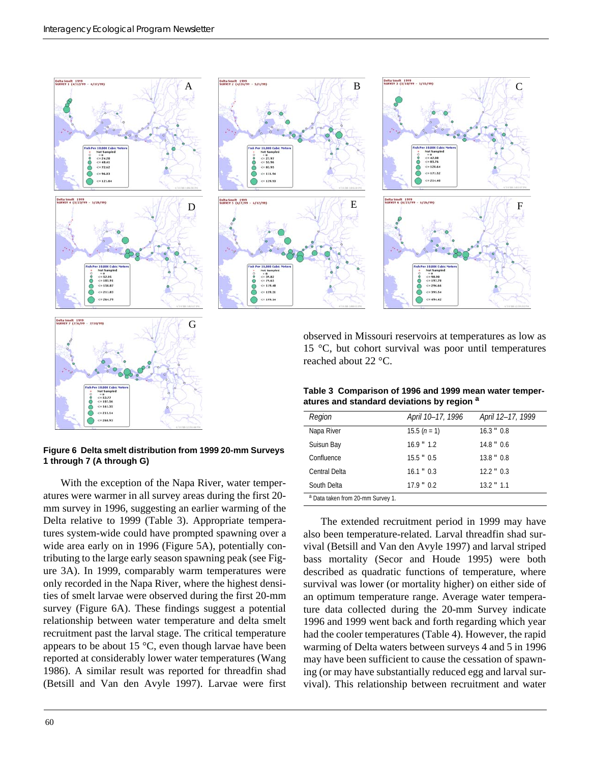



#### **Figure 6 Delta smelt distribution from 1999 20-mm Surveys 1 through 7 (A through G)**

With the exception of the Napa River, water temperatures were warmer in all survey areas during the first 20 mm survey in 1996, suggesting an earlier warming of the Delta relative to 1999 (Table 3). Appropriate temperatures system-wide could have prompted spawning over a wide area early on in 1996 (Figure 5A), potentially contributing to the large early season spawning peak (see Figure 3A). In 1999, comparably warm temperatures were only recorded in the Napa River, where the highest densities of smelt larvae were observed during the first 20-mm survey (Figure 6A). These findings suggest a potential relationship between water temperature and delta smelt recruitment past the larval stage. The critical temperature appears to be about 15 °C, even though larvae have been reported at considerably lower water temperatures (Wang 1986). A similar result was reported for threadfin shad (Betsill and Van den Avyle 1997). Larvae were first

observed in Missouri reservoirs at temperatures as low as 15 °C, but cohort survival was poor until temperatures reached about 22 °C.

| Table 3 Comparison of 1996 and 1999 mean water temper- |  |
|--------------------------------------------------------|--|
| atures and standard deviations by region <sup>a</sup>  |  |

| Region                                       | April 10-17, 1996 | April 12-17, 1999 |
|----------------------------------------------|-------------------|-------------------|
| Napa River                                   | $15.5(n=1)$       | $16.3$ $"$ 0.8    |
| Suisun Bay                                   | $16.9$ " $1.2$    | $14.8$ " 0.6      |
| Confluence                                   | $15.5$ " 0.5      | $13.8$ $"$ 0.8    |
| Central Delta                                | $16.1$ " $0.3$    | $12.2$ $"$ 0.3    |
| South Delta                                  | $17.9$ " $0.2$    | $13.2$ " $1.1$    |
| <sup>a</sup> Data taken from 20-mm Survey 1. |                   |                   |

The extended recruitment period in 1999 may have also been temperature-related. Larval threadfin shad survival (Betsill and Van den Avyle 1997) and larval striped bass mortality (Secor and Houde 1995) were both described as quadratic functions of temperature, where survival was lower (or mortality higher) on either side of an optimum temperature range. Average water temperature data collected during the 20-mm Survey indicate 1996 and 1999 went back and forth regarding which year had the cooler temperatures (Table 4). However, the rapid warming of Delta waters between surveys 4 and 5 in 1996 may have been sufficient to cause the cessation of spawning (or may have substantially reduced egg and larval survival). This relationship between recruitment and water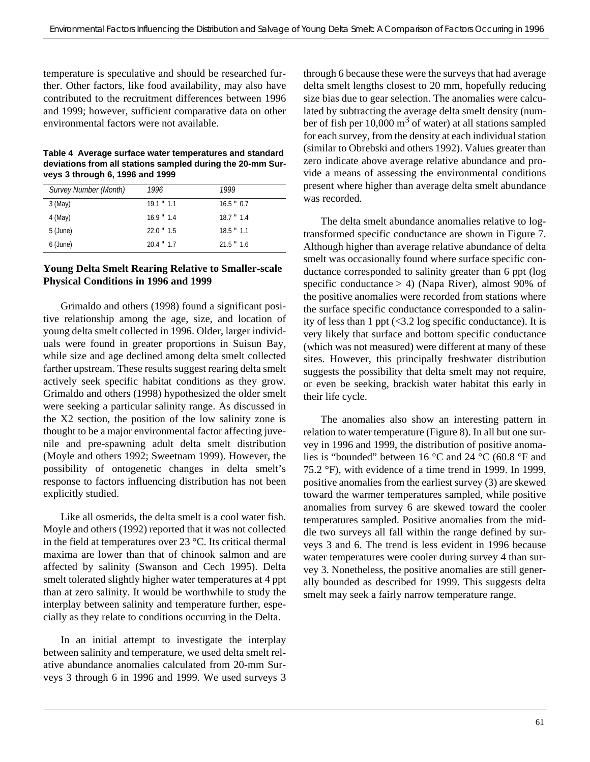temperature is speculative and should be researched further. Other factors, like food availability, may also have contributed to the recruitment differences between 1996 and 1999; however, sufficient comparative data on other environmental factors were not available.

**Table 4 Average surface water temperatures and standard deviations from all stations sampled during the 20-mm Surveys 3 through 6, 1996 and 1999**

| Survey Number (Month) | 1996           | 1999           |
|-----------------------|----------------|----------------|
| 3 (May)               | $19.1$ " $1.1$ | $16.5$ " 0.7   |
| 4 (May)               | $16.9$ $" 1.4$ | $18.7$ $" 1.4$ |
| 5 (June)              | $22.0$ " $1.5$ | $18.5$ " $1.1$ |
| 6 (June)              | $20.4$ " $1.7$ | $21.5$ " $1.6$ |

#### **Young Delta Smelt Rearing Relative to Smaller-scale Physical Conditions in 1996 and 1999**

Grimaldo and others (1998) found a significant positive relationship among the age, size, and location of young delta smelt collected in 1996. Older, larger individuals were found in greater proportions in Suisun Bay, while size and age declined among delta smelt collected farther upstream. These results suggest rearing delta smelt actively seek specific habitat conditions as they grow. Grimaldo and others (1998) hypothesized the older smelt were seeking a particular salinity range. As discussed in the X2 section, the position of the low salinity zone is thought to be a major environmental factor affecting juvenile and pre-spawning adult delta smelt distribution (Moyle and others 1992; Sweetnam 1999). However, the possibility of ontogenetic changes in delta smelt's response to factors influencing distribution has not been explicitly studied.

Like all osmerids, the delta smelt is a cool water fish. Moyle and others (1992) reported that it was not collected in the field at temperatures over 23 °C. Its critical thermal maxima are lower than that of chinook salmon and are affected by salinity (Swanson and Cech 1995). Delta smelt tolerated slightly higher water temperatures at 4 ppt than at zero salinity. It would be worthwhile to study the interplay between salinity and temperature further, especially as they relate to conditions occurring in the Delta.

In an initial attempt to investigate the interplay between salinity and temperature, we used delta smelt relative abundance anomalies calculated from 20-mm Surveys 3 through 6 in 1996 and 1999. We used surveys 3 through 6 because these were the surveys that had average delta smelt lengths closest to 20 mm, hopefully reducing size bias due to gear selection. The anomalies were calculated by subtracting the average delta smelt density (number of fish per  $10,000 \text{ m}^3$  of water) at all stations sampled for each survey, from the density at each individual station (similar to Obrebski and others 1992). Values greater than zero indicate above average relative abundance and provide a means of assessing the environmental conditions present where higher than average delta smelt abundance was recorded.

The delta smelt abundance anomalies relative to logtransformed specific conductance are shown in Figure 7. Although higher than average relative abundance of delta smelt was occasionally found where surface specific conductance corresponded to salinity greater than 6 ppt (log specific conductance  $> 4$ ) (Napa River), almost 90% of the positive anomalies were recorded from stations where the surface specific conductance corresponded to a salinity of less than 1 ppt  $\langle 3.2 \log$  specific conductance). It is very likely that surface and bottom specific conductance (which was not measured) were different at many of these sites. However, this principally freshwater distribution suggests the possibility that delta smelt may not require, or even be seeking, brackish water habitat this early in their life cycle.

The anomalies also show an interesting pattern in relation to water temperature (Figure 8). In all but one survey in 1996 and 1999, the distribution of positive anomalies is "bounded" between 16 °C and 24 °C (60.8 °F and 75.2 °F), with evidence of a time trend in 1999. In 1999, positive anomalies from the earliest survey (3) are skewed toward the warmer temperatures sampled, while positive anomalies from survey 6 are skewed toward the cooler temperatures sampled. Positive anomalies from the middle two surveys all fall within the range defined by surveys 3 and 6. The trend is less evident in 1996 because water temperatures were cooler during survey 4 than survey 3. Nonetheless, the positive anomalies are still generally bounded as described for 1999. This suggests delta smelt may seek a fairly narrow temperature range.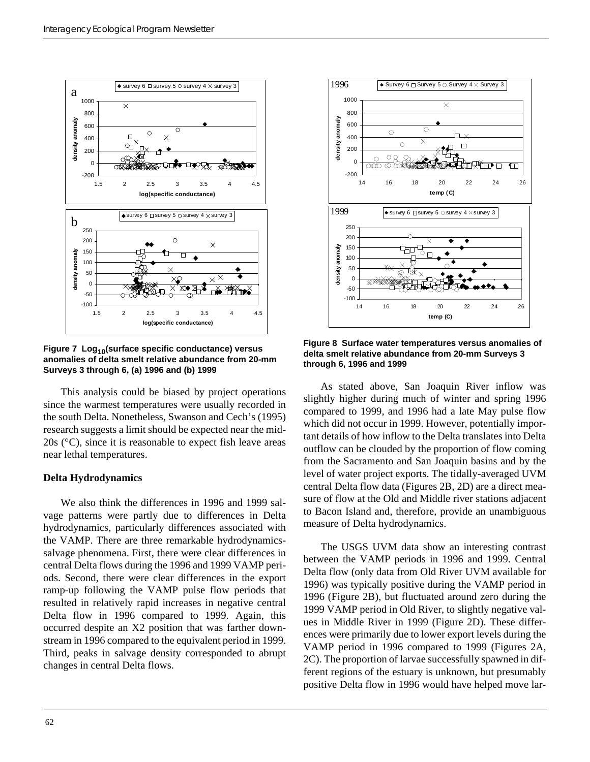

**Figure 7 Log10(surface specific conductance) versus anomalies of delta smelt relative abundance from 20-mm Surveys 3 through 6, (a) 1996 and (b) 1999**

This analysis could be biased by project operations since the warmest temperatures were usually recorded in the south Delta. Nonetheless, Swanson and Cech's (1995) research suggests a limit should be expected near the mid-20s (°C), since it is reasonable to expect fish leave areas near lethal temperatures.

#### **Delta Hydrodynamics**

We also think the differences in 1996 and 1999 salvage patterns were partly due to differences in Delta hydrodynamics, particularly differences associated with the VAMP. There are three remarkable hydrodynamicssalvage phenomena. First, there were clear differences in central Delta flows during the 1996 and 1999 VAMP periods. Second, there were clear differences in the export ramp-up following the VAMP pulse flow periods that resulted in relatively rapid increases in negative central Delta flow in 1996 compared to 1999. Again, this occurred despite an X2 position that was farther downstream in 1996 compared to the equivalent period in 1999. Third, peaks in salvage density corresponded to abrupt changes in central Delta flows.



**Figure 8 Surface water temperatures versus anomalies of delta smelt relative abundance from 20-mm Surveys 3 through 6, 1996 and 1999**

As stated above, San Joaquin River inflow was slightly higher during much of winter and spring 1996 compared to 1999, and 1996 had a late May pulse flow which did not occur in 1999. However, potentially important details of how inflow to the Delta translates into Delta outflow can be clouded by the proportion of flow coming from the Sacramento and San Joaquin basins and by the level of water project exports. The tidally-averaged UVM central Delta flow data (Figures 2B, 2D) are a direct measure of flow at the Old and Middle river stations adjacent to Bacon Island and, therefore, provide an unambiguous measure of Delta hydrodynamics.

The USGS UVM data show an interesting contrast between the VAMP periods in 1996 and 1999. Central Delta flow (only data from Old River UVM available for 1996) was typically positive during the VAMP period in 1996 (Figure 2B), but fluctuated around zero during the 1999 VAMP period in Old River, to slightly negative values in Middle River in 1999 (Figure 2D). These differences were primarily due to lower export levels during the VAMP period in 1996 compared to 1999 (Figures 2A, 2C). The proportion of larvae successfully spawned in different regions of the estuary is unknown, but presumably positive Delta flow in 1996 would have helped move lar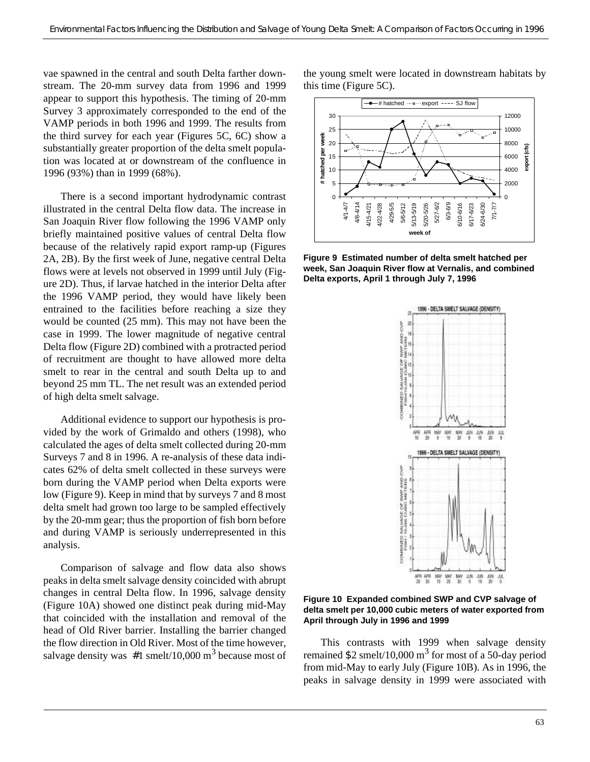vae spawned in the central and south Delta farther downstream. The 20-mm survey data from 1996 and 1999 appear to support this hypothesis. The timing of 20-mm Survey 3 approximately corresponded to the end of the VAMP periods in both 1996 and 1999. The results from the third survey for each year (Figures 5C, 6C) show a substantially greater proportion of the delta smelt population was located at or downstream of the confluence in 1996 (93%) than in 1999 (68%).

There is a second important hydrodynamic contrast illustrated in the central Delta flow data. The increase in San Joaquin River flow following the 1996 VAMP only briefly maintained positive values of central Delta flow because of the relatively rapid export ramp-up (Figures 2A, 2B). By the first week of June, negative central Delta flows were at levels not observed in 1999 until July (Figure 2D). Thus, if larvae hatched in the interior Delta after the 1996 VAMP period, they would have likely been entrained to the facilities before reaching a size they would be counted (25 mm). This may not have been the case in 1999. The lower magnitude of negative central Delta flow (Figure 2D) combined with a protracted period of recruitment are thought to have allowed more delta smelt to rear in the central and south Delta up to and beyond 25 mm TL. The net result was an extended period of high delta smelt salvage.

Additional evidence to support our hypothesis is provided by the work of Grimaldo and others (1998), who calculated the ages of delta smelt collected during 20-mm Surveys 7 and 8 in 1996. A re-analysis of these data indicates 62% of delta smelt collected in these surveys were born during the VAMP period when Delta exports were low (Figure 9). Keep in mind that by surveys 7 and 8 most delta smelt had grown too large to be sampled effectively by the 20-mm gear; thus the proportion of fish born before and during VAMP is seriously underrepresented in this analysis.

Comparison of salvage and flow data also shows peaks in delta smelt salvage density coincided with abrupt changes in central Delta flow. In 1996, salvage density (Figure 10A) showed one distinct peak during mid-May that coincided with the installation and removal of the head of Old River barrier. Installing the barrier changed the flow direction in Old River. Most of the time however, salvage density was  $#1$  smelt/10,000 m<sup>3</sup> because most of

the young smelt were located in downstream habitats by this time (Figure 5C).



**Figure 9 Estimated number of delta smelt hatched per week, San Joaquin River flow at Vernalis, and combined Delta exports, April 1 through July 7, 1996**



**Figure 10 Expanded combined SWP and CVP salvage of delta smelt per 10,000 cubic meters of water exported from April through July in 1996 and 1999**

This contrasts with 1999 when salvage density remained \$2 smelt/10,000  $\text{m}^3$  for most of a 50-day period from mid-May to early July (Figure 10B). As in 1996, the peaks in salvage density in 1999 were associated with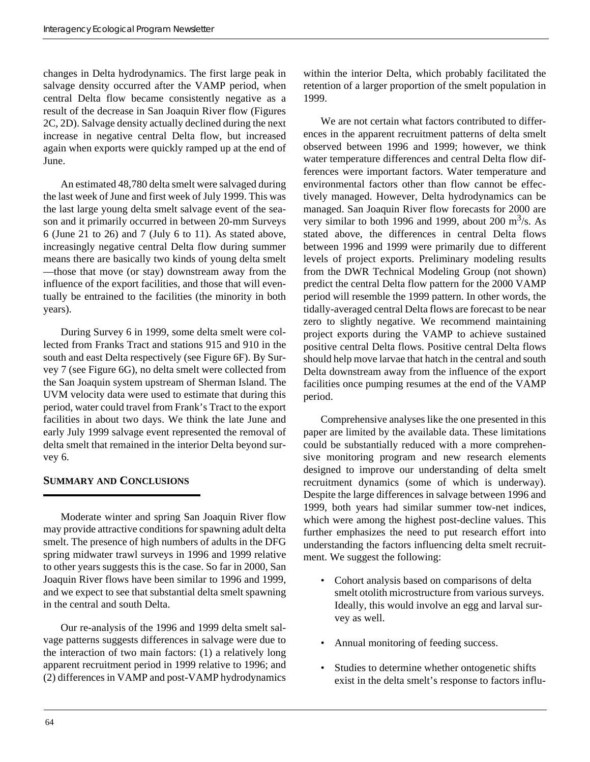changes in Delta hydrodynamics. The first large peak in salvage density occurred after the VAMP period, when central Delta flow became consistently negative as a result of the decrease in San Joaquin River flow (Figures 2C, 2D). Salvage density actually declined during the next increase in negative central Delta flow, but increased again when exports were quickly ramped up at the end of June.

An estimated 48,780 delta smelt were salvaged during the last week of June and first week of July 1999. This was the last large young delta smelt salvage event of the season and it primarily occurred in between 20-mm Surveys 6 (June 21 to 26) and 7 (July 6 to 11). As stated above, increasingly negative central Delta flow during summer means there are basically two kinds of young delta smelt —those that move (or stay) downstream away from the influence of the export facilities, and those that will eventually be entrained to the facilities (the minority in both years).

During Survey 6 in 1999, some delta smelt were collected from Franks Tract and stations 915 and 910 in the south and east Delta respectively (see Figure 6F). By Survey 7 (see Figure 6G), no delta smelt were collected from the San Joaquin system upstream of Sherman Island. The UVM velocity data were used to estimate that during this period, water could travel from Frank's Tract to the export facilities in about two days. We think the late June and early July 1999 salvage event represented the removal of delta smelt that remained in the interior Delta beyond survey 6.

# **SUMMARY AND CONCLUSIONS**

Moderate winter and spring San Joaquin River flow may provide attractive conditions for spawning adult delta smelt. The presence of high numbers of adults in the DFG spring midwater trawl surveys in 1996 and 1999 relative to other years suggests this is the case. So far in 2000, San Joaquin River flows have been similar to 1996 and 1999, and we expect to see that substantial delta smelt spawning in the central and south Delta.

Our re-analysis of the 1996 and 1999 delta smelt salvage patterns suggests differences in salvage were due to the interaction of two main factors: (1) a relatively long apparent recruitment period in 1999 relative to 1996; and (2) differences in VAMP and post-VAMP hydrodynamics within the interior Delta, which probably facilitated the retention of a larger proportion of the smelt population in 1999.

We are not certain what factors contributed to differences in the apparent recruitment patterns of delta smelt observed between 1996 and 1999; however, we think water temperature differences and central Delta flow differences were important factors. Water temperature and environmental factors other than flow cannot be effectively managed. However, Delta hydrodynamics can be managed. San Joaquin River flow forecasts for 2000 are very similar to both 1996 and 1999, about 200  $\text{m}^3$ /s. As stated above, the differences in central Delta flows between 1996 and 1999 were primarily due to different levels of project exports. Preliminary modeling results from the DWR Technical Modeling Group (not shown) predict the central Delta flow pattern for the 2000 VAMP period will resemble the 1999 pattern. In other words, the tidally-averaged central Delta flows are forecast to be near zero to slightly negative. We recommend maintaining project exports during the VAMP to achieve sustained positive central Delta flows. Positive central Delta flows should help move larvae that hatch in the central and south Delta downstream away from the influence of the export facilities once pumping resumes at the end of the VAMP period.

Comprehensive analyses like the one presented in this paper are limited by the available data. These limitations could be substantially reduced with a more comprehensive monitoring program and new research elements designed to improve our understanding of delta smelt recruitment dynamics (some of which is underway). Despite the large differences in salvage between 1996 and 1999, both years had similar summer tow-net indices, which were among the highest post-decline values. This further emphasizes the need to put research effort into understanding the factors influencing delta smelt recruitment. We suggest the following:

- Cohort analysis based on comparisons of delta smelt otolith microstructure from various surveys. Ideally, this would involve an egg and larval survey as well.
- Annual monitoring of feeding success.
- Studies to determine whether ontogenetic shifts exist in the delta smelt's response to factors influ-